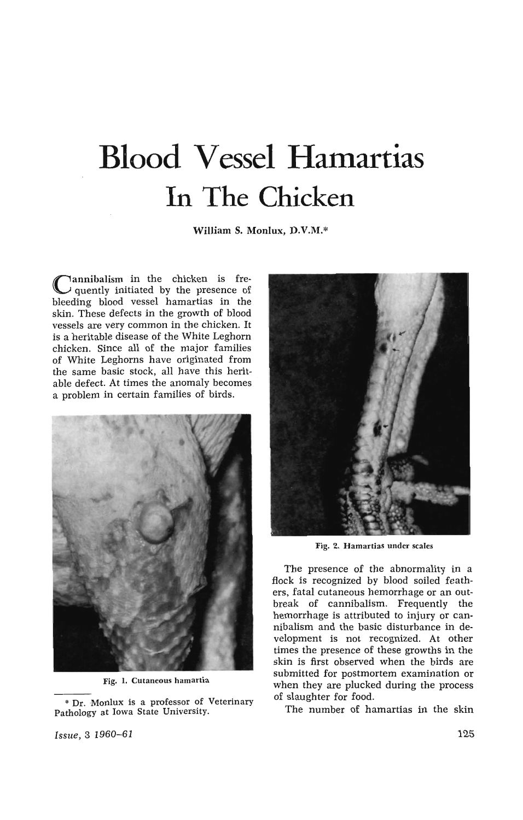## **Blood Vesse! Hamartias In The Chicken**

**William S. Monlux,** D.V.M.\*

Cannibalism in the chicken is fre- $\lambda$  quently initiated by the presence of bleeding blood vessel hamartias in the skin. These defects in the growth of blood vessels are very common in the chicken. It is a heritable disease of the White Leghorn chicken. Since all of the major families of White Leghorns have originated from the same basic stock, all have this heritable defect. At times the anomaly becomes a problem in certain families of birds.



Fig. l. Cutaneous hamartia

\* Dr. Monlux is a professor of Veterinary Pathology at Iowa State University.



Fig. 2. Hamartias under scales

The presence of the abnormality in a flock is recognized by blood soiled feathers, fatal cutaneous hemorrhage or an outbreak of cannibalism. Frequently the hemorrhage is attributed to injury or cannibalism and the basic disturbance in development is not recognized. At other times the presence of these growths in the skin is first observed when the birds are submitted for postmortem examination or when they are plucked during the process of slaughter for food.

The number of hamartias in the skin

*Issue,* 3 1960-61